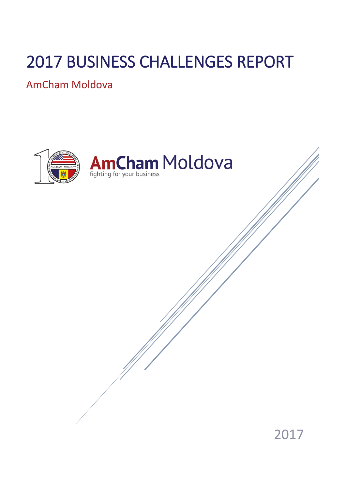# 2017 BUSINESS CHALLENGES REPORT

AmCham Moldova

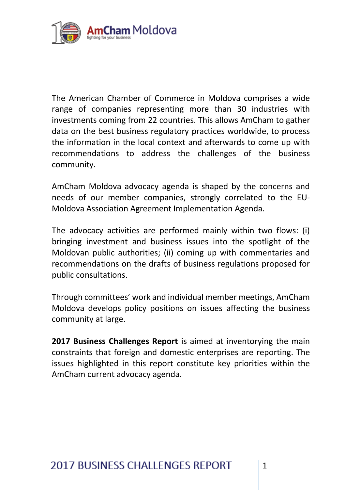

The American Chamber of Commerce in Moldova comprises a wide range of companies representing more than 30 industries with investments coming from 22 countries. This allows AmCham to gather data on the best business regulatory practices worldwide, to process the information in the local context and afterwards to come up with recommendations to address the challenges of the business community.

AmCham Moldova advocacy agenda is shaped by the concerns and needs of our member companies, strongly correlated to the EU-Moldova Association Agreement Implementation Agenda.

The advocacy activities are performed mainly within two flows: (i) bringing investment and business issues into the spotlight of the Moldovan public authorities; (ii) coming up with commentaries and recommendations on the drafts of business regulations proposed for public consultations.

Through committees' work and individual member meetings, AmCham Moldova develops policy positions on issues affecting the business community at large.

**2017 Business Challenges Report** is aimed at inventorying the main constraints that foreign and domestic enterprises are reporting. The issues highlighted in this report constitute key priorities within the AmCham current advocacy agenda.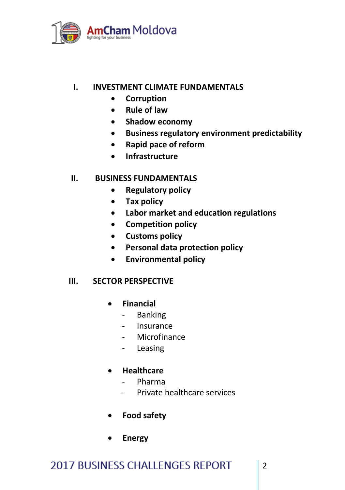

### **I. INVESTMENT CLIMATE FUNDAMENTALS**

- **Corruption**
- **Rule of law**
- **•** Shadow economy
- **Business regulatory environment predictability**
- **Rapid pace of reform**
- **Infrastructure**

#### **II. BUSINESS FUNDAMENTALS**

- **Regulatory policy**
- **Tax policy**
- **Labor market and education regulations**
- **Competition policy**
- **Customs policy**
- **Personal data protection policy**
- **Environmental policy**

#### **III. SECTOR PERSPECTIVE**

- **Financial** 
	- Banking
	- **Insurance**
	- Microfinance
	- Leasing
- **Healthcare**
	- Pharma
	- Private healthcare services

2

- **Food safety**
- **Energy**

# **2017 BUSINESS CHALLENGES REPORT**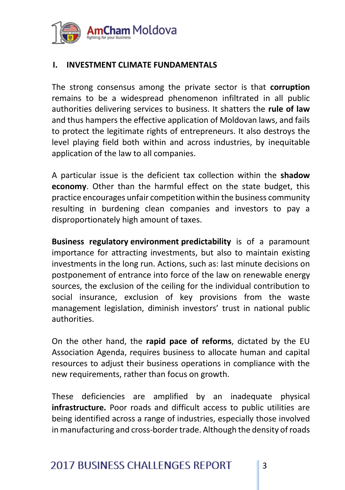

# **I. INVESTMENT CLIMATE FUNDAMENTALS**

The strong consensus among the private sector is that **corruption** remains to be a widespread phenomenon infiltrated in all public authorities delivering services to business. It shatters the **rule of law** and thus hampers the effective application of Moldovan laws, and fails to protect the legitimate rights of entrepreneurs. It also destroys the level playing field both within and across industries, by inequitable application of the law to all companies.

A particular issue is the deficient tax collection within the **shadow economy**. Other than the harmful effect on the state budget, this practice encourages unfair competition within the business community resulting in burdening clean companies and investors to pay a disproportionately high amount of taxes.

**Business regulatory environment predictability** is of a paramount importance for attracting investments, but also to maintain existing investments in the long run. Actions, such as: last minute decisions on postponement of entrance into force of the law on renewable energy sources, the exclusion of the ceiling for the individual contribution to social insurance, exclusion of key provisions from the waste management legislation, diminish investors' trust in national public authorities.

On the other hand, the **rapid pace of reforms**, dictated by the EU Association Agenda, requires business to allocate human and capital resources to adjust their business operations in compliance with the new requirements, rather than focus on growth.

These deficiencies are amplified by an inadequate physical **infrastructure.** Poor roads and difficult access to public utilities are being identified across a range of industries, especially those involved in manufacturing and cross-border trade. Although the density of roads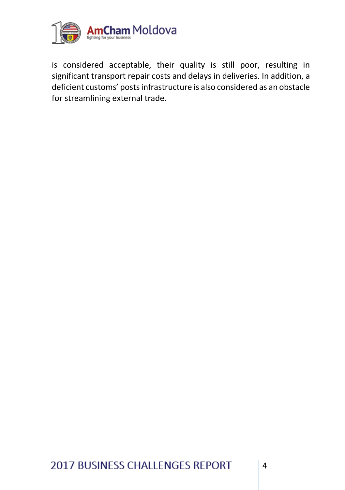

is considered acceptable, their quality is still poor, resulting in significant transport repair costs and delays in deliveries. In addition, a deficient customs' posts infrastructure is also considered as an obstacle for streamlining external trade.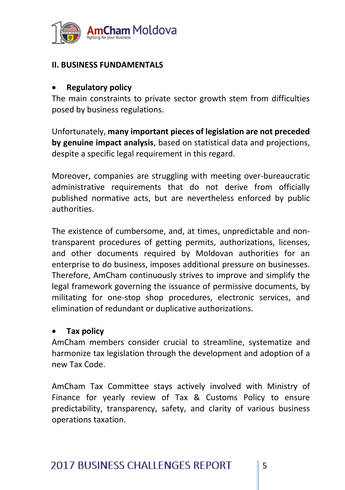

# **II. BUSINESS FUNDAMENTALS**

# **Regulatory policy**

The main constraints to private sector growth stem from difficulties posed by business regulations.

Unfortunately, **many important pieces of legislation are not preceded by genuine impact analysis**, based on statistical data and projections, despite a specific legal requirement in this regard.

Moreover, companies are struggling with meeting over-bureaucratic administrative requirements that do not derive from officially published normative acts, but are nevertheless enforced by public authorities.

The existence of cumbersome, and, at times, unpredictable and nontransparent procedures of getting permits, authorizations, licenses, and other documents required by Moldovan authorities for an enterprise to do business, imposes additional pressure on businesses. Therefore, AmCham continuously strives to improve and simplify the legal framework governing the issuance of permissive documents, by militating for one-stop shop procedures, electronic services, and elimination of redundant or duplicative authorizations.

# **Tax policy**

AmCham members consider crucial to streamline, systematize and harmonize tax legislation through the development and adoption of a new Tax Code.

AmCham Tax Committee stays actively involved with Ministry of Finance for yearly review of Tax & Customs Policy to ensure predictability, transparency, safety, and clarity of various business operations taxation.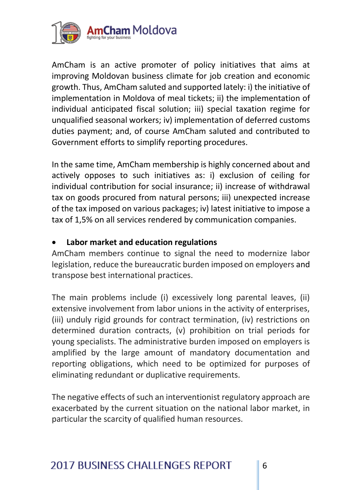

AmCham is an active promoter of policy initiatives that aims at improving Moldovan business climate for job creation and economic growth. Thus, AmCham saluted and supported lately: i) the initiative of implementation in Moldova of meal tickets; ii) the implementation of individual anticipated fiscal solution; iii) special taxation regime for unqualified seasonal workers; iv) implementation of deferred customs duties payment; and, of course AmCham saluted and contributed to Government efforts to simplify reporting procedures.

In the same time, AmCham membership is highly concerned about and actively opposes to such initiatives as: i) exclusion of ceiling for individual contribution for social insurance; ii) increase of withdrawal tax on goods procured from natural persons; iii) unexpected increase of the tax imposed on various packages; iv) latest initiative to impose a tax of 1,5% on all services rendered by communication companies.

# **Labor market and education regulations**

AmCham members continue to signal the need to modernize labor legislation, reduce the bureaucratic burden imposed on employers and transpose best international practices.

The main problems include (i) excessively long parental leaves, (ii) extensive involvement from labor unions in the activity of enterprises, (iii) unduly rigid grounds for contract termination, (iv) restrictions on determined duration contracts, (v) prohibition on trial periods for young specialists. The administrative burden imposed on employers is amplified by the large amount of mandatory documentation and reporting obligations, which need to be optimized for purposes of eliminating redundant or duplicative requirements.

The negative effects of such an interventionist regulatory approach are exacerbated by the current situation on the national labor market, in particular the scarcity of qualified human resources.

# **2017 BUSINESS CHALLENGES REPORT**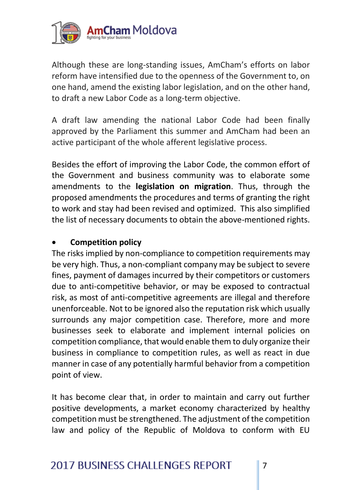

Although these are long-standing issues, AmCham's efforts on labor reform have intensified due to the openness of the Government to, on one hand, amend the existing labor legislation, and on the other hand, to draft a new Labor Code as a long-term objective.

A draft law amending the national Labor Code had been finally approved by the Parliament this summer and AmCham had been an active participant of the whole afferent legislative process.

Besides the effort of improving the Labor Code, the common effort of the Government and business community was to elaborate some amendments to the **legislation on migration**. Thus, through the proposed amendments the procedures and terms of granting the right to work and stay had been revised and optimized. This also simplified the list of necessary documents to obtain the above-mentioned rights.

# **Competition policy**

The risks implied by non-compliance to competition requirements may be very high. Thus, a non-compliant company may be subject to severe fines, payment of damages incurred by their competitors or customers due to anti-competitive behavior, or may be exposed to contractual risk, as most of anti-competitive agreements are illegal and therefore unenforceable. Not to be ignored also the reputation risk which usually surrounds any major competition case. Therefore, more and more businesses seek to elaborate and implement internal policies on competition compliance, that would enable them to duly organize their business in compliance to competition rules, as well as react in due manner in case of any potentially harmful behavior from a competition point of view.

It has become clear that, in order to maintain and carry out further positive developments, a market economy characterized by healthy competition must be strengthened. The adjustment of the competition law and policy of the Republic of Moldova to conform with EU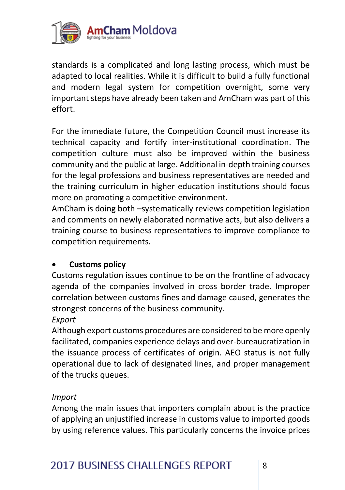

standards is a complicated and long lasting process, which must be adapted to local realities. While it is difficult to build a fully functional and modern legal system for competition overnight, some very important steps have already been taken and AmCham was part of this effort.

For the immediate future, the Competition Council must increase its technical capacity and fortify inter-institutional coordination. The competition culture must also be improved within the business community and the public at large. Additional in-depth training courses for the legal professions and business representatives are needed and the training curriculum in higher education institutions should focus more on promoting a competitive environment.

AmCham is doing both –systematically reviews competition legislation and comments on newly elaborated normative acts, but also delivers a training course to business representatives to improve compliance to competition requirements.

# **Customs policy**

Customs regulation issues continue to be on the frontline of advocacy agenda of the companies involved in cross border trade. Improper correlation between customs fines and damage caused, generates the strongest concerns of the business community.

#### *Export*

Although export customs procedures are considered to be more openly facilitated, companies experience delays and over-bureaucratization in the issuance process of certificates of origin. AEO status is not fully operational due to lack of designated lines, and proper management of the trucks queues.

#### *Import*

Among the main issues that importers complain about is the practice of applying an unjustified increase in customs value to imported goods by using reference values. This particularly concerns the invoice prices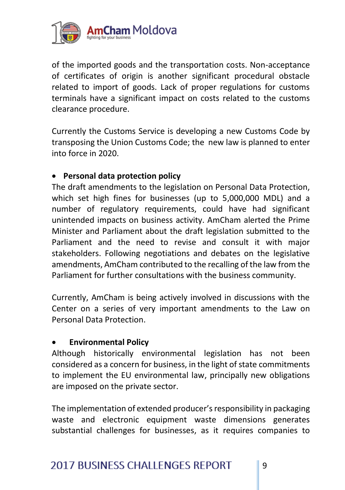

of the imported goods and the transportation costs. Non-acceptance of certificates of origin is another significant procedural obstacle related to import of goods. Lack of proper regulations for customs terminals have a significant impact on costs related to the customs clearance procedure.

Currently the Customs Service is developing a new Customs Code by transposing the Union Customs Code; the new law is planned to enter into force in 2020.

# **Personal data protection policy**

The draft amendments to the legislation on Personal Data Protection, which set high fines for businesses (up to 5,000,000 MDL) and a number of regulatory requirements, could have had significant unintended impacts on business activity. AmCham alerted the Prime Minister and Parliament about the draft legislation submitted to the Parliament and the need to revise and consult it with major stakeholders. Following negotiations and debates on the legislative amendments, AmCham contributed to the recalling of the law from the Parliament for further consultations with the business community.

Currently, AmCham is being actively involved in discussions with the Center on a series of very important amendments to the Law on Personal Data Protection.

# **Environmental Policy**

Although historically environmental legislation has not been considered as a concern for business, in the light of state commitments to implement the EU environmental law, principally new obligations are imposed on the private sector.

The implementation of extended producer's responsibility in packaging waste and electronic equipment waste dimensions generates substantial challenges for businesses, as it requires companies to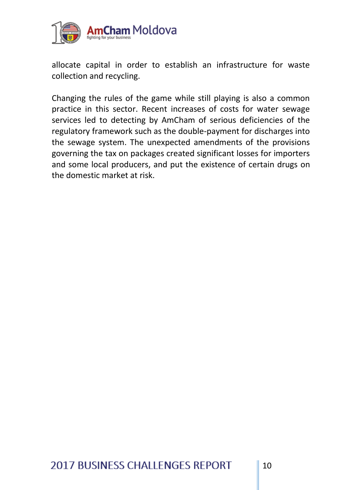

allocate capital in order to establish an infrastructure for waste collection and recycling.

Changing the rules of the game while still playing is also a common practice in this sector. Recent increases of costs for water sewage services led to detecting by AmCham of serious deficiencies of the regulatory framework such as the double-payment for discharges into the sewage system. The unexpected amendments of the provisions governing the tax on packages created significant losses for importers and some local producers, and put the existence of certain drugs on the domestic market at risk.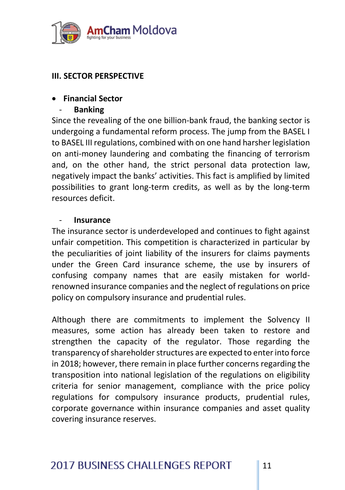

# **III. SECTOR PERSPECTIVE**

# **Financial Sector**

- **Banking**

Since the revealing of the one billion-bank fraud, the banking sector is undergoing a fundamental reform process. The jump from the BASEL I to BASEL III regulations, combined with on one hand harsher legislation on anti-money laundering and combating the financing of terrorism and, on the other hand, the strict personal data protection law, negatively impact the banks' activities. This fact is amplified by limited possibilities to grant long-term credits, as well as by the long-term resources deficit.

# - **Insurance**

The insurance sector is underdeveloped and continues to fight against unfair competition. This competition is characterized in particular by the peculiarities of joint liability of the insurers for claims payments under the Green Card insurance scheme, the use by insurers of confusing company names that are easily mistaken for worldrenowned insurance companies and the neglect of regulations on price policy on compulsory insurance and prudential rules.

Although there are commitments to implement the Solvency II measures, some action has already been taken to restore and strengthen the capacity of the regulator. Those regarding the transparency of shareholder structures are expected to enter into force in 2018; however, there remain in place further concerns regarding the transposition into national legislation of the regulations on eligibility criteria for senior management, compliance with the price policy regulations for compulsory insurance products, prudential rules, corporate governance within insurance companies and asset quality covering insurance reserves.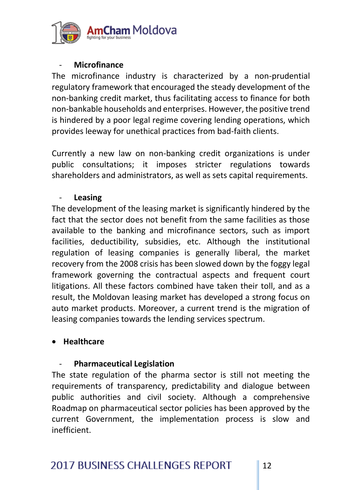

#### - **Microfinance**

The microfinance industry is characterized by a non-prudential regulatory framework that encouraged the steady development of the non-banking credit market, thus facilitating access to finance for both non-bankable households and enterprises. However, the positive trend is hindered by a poor legal regime covering lending operations, which provides leeway for unethical practices from bad-faith clients.

Currently a new law on non-banking credit organizations is under public consultations; it imposes stricter regulations towards shareholders and administrators, as well as sets capital requirements.

#### - **Leasing**

The development of the leasing market is significantly hindered by the fact that the sector does not benefit from the same facilities as those available to the banking and microfinance sectors, such as import facilities, deductibility, subsidies, etc. Although the institutional regulation of leasing companies is generally liberal, the market recovery from the 2008 crisis has been slowed down by the foggy legal framework governing the contractual aspects and frequent court litigations. All these factors combined have taken their toll, and as a result, the Moldovan leasing market has developed a strong focus on auto market products. Moreover, a current trend is the migration of leasing companies towards the lending services spectrum.

#### **Healthcare**

#### - **Pharmaceutical Legislation**

The state regulation of the pharma sector is still not meeting the requirements of transparency, predictability and dialogue between public authorities and civil society. Although a comprehensive Roadmap on pharmaceutical sector policies has been approved by the current Government, the implementation process is slow and inefficient.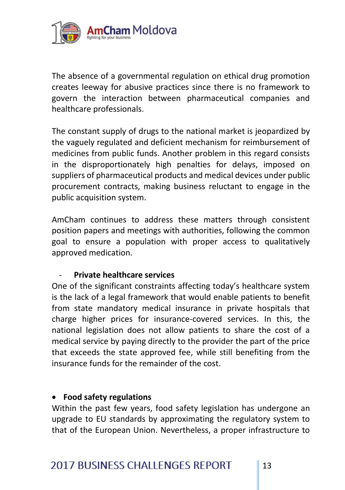

The absence of a governmental regulation on ethical drug promotion creates leeway for abusive practices since there is no framework to govern the interaction between pharmaceutical companies and healthcare professionals.

The constant supply of drugs to the national market is jeopardized by the vaguely regulated and deficient mechanism for reimbursement of medicines from public funds. Another problem in this regard consists in the disproportionately high penalties for delays, imposed on suppliers of pharmaceutical products and medical devices under public procurement contracts, making business reluctant to engage in the public acquisition system.

AmCham continues to address these matters through consistent position papers and meetings with authorities, following the common goal to ensure a population with proper access to qualitatively approved medication.

#### - **Private healthcare services**

One of the significant constraints affecting today's healthcare system is the lack of a legal framework that would enable patients to benefit from state mandatory medical insurance in private hospitals that charge higher prices for insurance-covered services. In this, the national legislation does not allow patients to share the cost of a medical service by paying directly to the provider the part of the price that exceeds the state approved fee, while still benefiting from the insurance funds for the remainder of the cost.

#### **Food safety regulations**

Within the past few years, food safety legislation has undergone an upgrade to EU standards by approximating the regulatory system to that of the European Union. Nevertheless, a proper infrastructure to